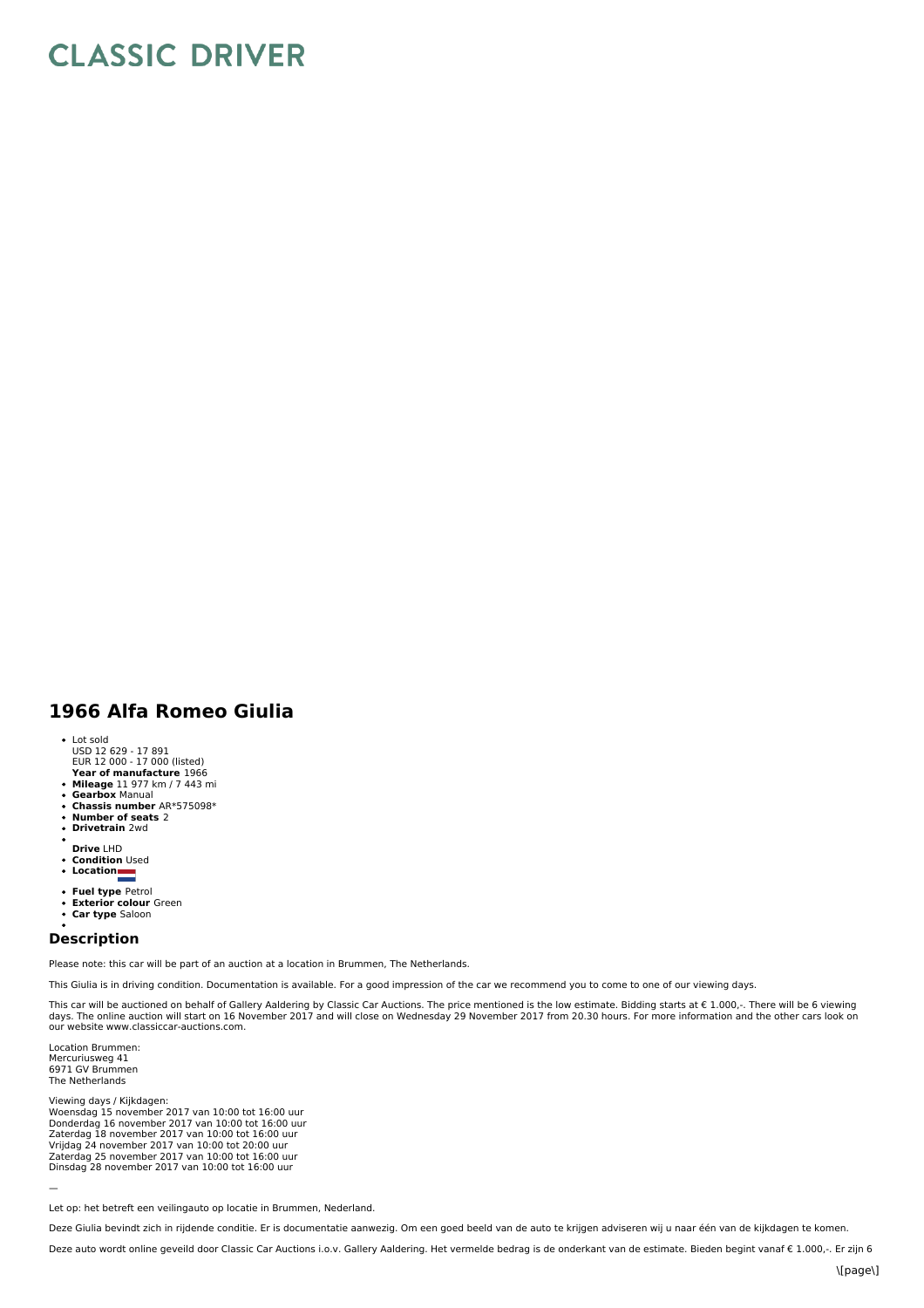## **CLASSIC DRIVER**

## **1966 Alfa Romeo Giulia**

- Lot sold
- USD 12 629 17 891 EUR 12 000 17 000 (listed)
- **Year of manufacture** 1966
- **Mileage** 11 977 km / 7 443 mi
- **Gearbox** Manual  $\bullet$ **Chassis number** AR\*575098\*
- $\bullet$
- **Number of seats** 2 **Drivetrain** 2wd  $\ddot{\phantom{0}}$
- 
- **Drive** LHD **Condition** Used
- **Location**
- 
- **Fuel type** Petrol **Exterior colour** Green
- $\ddot{\phantom{0}}$
- **Car type** Saloon

## **Description**

Please note: this car will be part of an auction at a location in Brummen, The Netherlands.

This Giulia is in driving condition. Documentation is available. For a good impression of the car we recommend you to come to one of our viewing days.

This car will be auctioned on behalf of Gallery Aaldering by Classic Car Auctions. The price mentioned is the low estimate. Bidding starts at € 1.000,-. There will be 6 viewing<br>days. The online auction will start on 16 No our website www.classiccar-auctions.com.

Location Brummen: Mercuriusweg 41 6971 GV Brummen The Netherlands

Viewing days / Kijkdagen: Woensdag 15 november 2017 van 10:00 tot 16:00 uur<br>Donderdag 16 november 2017 van 10:00 tot 16:00 uur<br>Zaterdag 18 november 2017 van 10:00 tot 16:00 uur Vrijdag 24 november 2017 van 10:00 tot 20:00 uur<br>Zaterdag 25 november 2017 van 10:00 tot 16:00 uur<br>Dinsdag 28 november 2017 van 10:00 tot 16:00 uur

—

Let op: het betreft een veilingauto op locatie in Brummen, Nederland.

Deze Giulia bevindt zich in rijdende conditie. Er is documentatie aanwezig. Om een goed beeld van de auto te krijgen adviseren wij u naar één van de kijkdagen te komen.

Deze auto wordt online geveild door Classic Car Auctions i.o.v. Gallery Aaldering. Het vermelde bedrag is de onderkant van de estimate. Bieden begint vanaf € 1.000,-. Er zijn 6